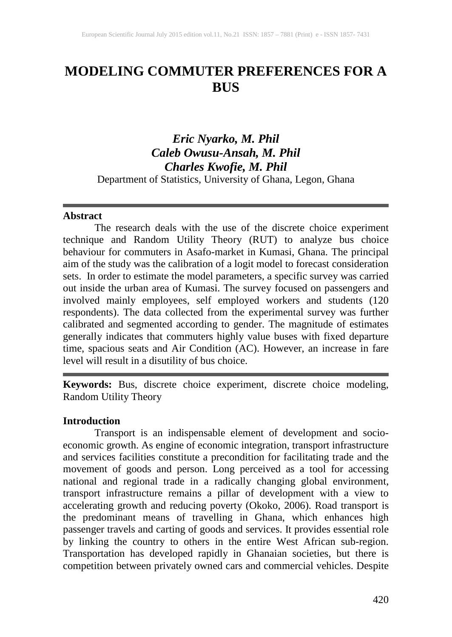# **MODELING COMMUTER PREFERENCES FOR A BUS**

# *Eric Nyarko, M. Phil Caleb Owusu-Ansah, M. Phil Charles Kwofie, M. Phil*  Department of Statistics, University of Ghana, Legon, Ghana

### **Abstract**

The research deals with the use of the discrete choice experiment technique and Random Utility Theory (RUT) to analyze bus choice behaviour for commuters in Asafo-market in Kumasi, Ghana. The principal aim of the study was the calibration of a logit model to forecast consideration sets. In order to estimate the model parameters, a specific survey was carried out inside the urban area of Kumasi. The survey focused on passengers and involved mainly employees, self employed workers and students (120 respondents). The data collected from the experimental survey was further calibrated and segmented according to gender. The magnitude of estimates generally indicates that commuters highly value buses with fixed departure time, spacious seats and Air Condition (AC). However, an increase in fare level will result in a disutility of bus choice.

**Keywords:** Bus, discrete choice experiment, discrete choice modeling, Random Utility Theory

### **Introduction**

Transport is an indispensable element of development and socioeconomic growth. As engine of economic integration, transport infrastructure and services facilities constitute a precondition for facilitating trade and the movement of goods and person. Long perceived as a tool for accessing national and regional trade in a radically changing global environment, transport infrastructure remains a pillar of development with a view to accelerating growth and reducing poverty (Okoko, 2006). Road transport is the predominant means of travelling in Ghana, which enhances high passenger travels and carting of goods and services. It provides essential role by linking the country to others in the entire West African sub-region. Transportation has developed rapidly in Ghanaian societies, but there is competition between privately owned cars and commercial vehicles. Despite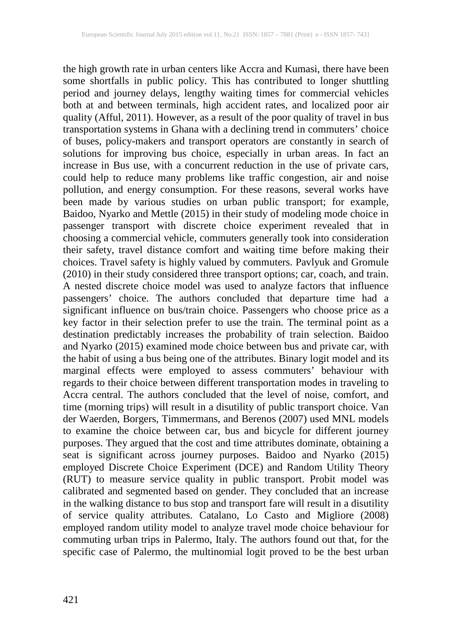the high growth rate in urban centers like Accra and Kumasi, there have been some shortfalls in public policy. This has contributed to longer shuttling period and journey delays, lengthy waiting times for commercial vehicles both at and between terminals, high accident rates, and localized poor air quality (Afful, 2011). However, as a result of the poor quality of travel in bus transportation systems in Ghana with a declining trend in commuters' choice of buses, policy-makers and transport operators are constantly in search of solutions for improving bus choice, especially in urban areas. In fact an increase in Bus use, with a concurrent reduction in the use of private cars, could help to reduce many problems like traffic congestion, air and noise pollution, and energy consumption. For these reasons, several works have been made by various studies on urban public transport; for example, Baidoo, Nyarko and Mettle (2015) in their study of modeling mode choice in passenger transport with discrete choice experiment revealed that in choosing a commercial vehicle, commuters generally took into consideration their safety, travel distance comfort and waiting time before making their choices. Travel safety is highly valued by commuters. Pavlyuk and Gromule (2010) in their study considered three transport options; car, coach, and train. A nested discrete choice model was used to analyze factors that influence passengers' choice. The authors concluded that departure time had a significant influence on bus/train choice. Passengers who choose price as a key factor in their selection prefer to use the train. The terminal point as a destination predictably increases the probability of train selection. Baidoo and Nyarko (2015) examined mode choice between bus and private car, with the habit of using a bus being one of the attributes. Binary logit model and its marginal effects were employed to assess commuters' behaviour with regards to their choice between different transportation modes in traveling to Accra central. The authors concluded that the level of noise, comfort, and time (morning trips) will result in a disutility of public transport choice. Van der Waerden, Borgers, Timmermans, and Berenos (2007) used MNL models to examine the choice between car, bus and bicycle for different journey purposes. They argued that the cost and time attributes dominate, obtaining a seat is significant across journey purposes. Baidoo and Nyarko (2015) employed Discrete Choice Experiment (DCE) and Random Utility Theory (RUT) to measure service quality in public transport. Probit model was calibrated and segmented based on gender. They concluded that an increase in the walking distance to bus stop and transport fare will result in a disutility of service quality attributes. Catalano, Lo Casto and Migliore (2008) employed random utility model to analyze travel mode choice behaviour for commuting urban trips in Palermo, Italy. The authors found out that, for the specific case of Palermo, the multinomial logit proved to be the best urban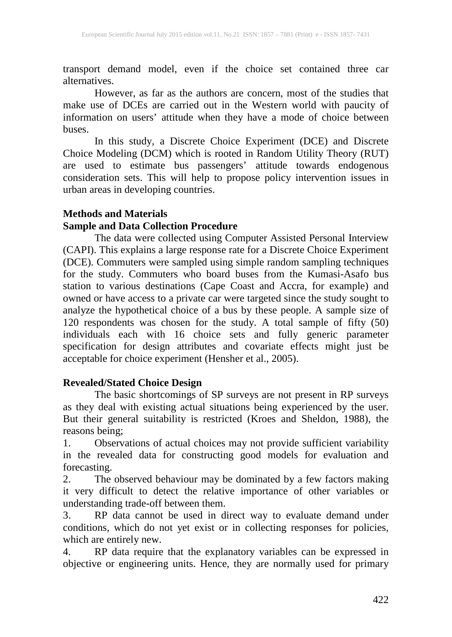transport demand model, even if the choice set contained three car alternatives.

However, as far as the authors are concern, most of the studies that make use of DCEs are carried out in the Western world with paucity of information on users' attitude when they have a mode of choice between buses.

In this study, a Discrete Choice Experiment (DCE) and Discrete Choice Modeling (DCM) which is rooted in Random Utility Theory (RUT) are used to estimate bus passengers' attitude towards endogenous consideration sets. This will help to propose policy intervention issues in urban areas in developing countries.

# **Methods and Materials**

# **Sample and Data Collection Procedure**

The data were collected using Computer Assisted Personal Interview (CAPI). This explains a large response rate for a Discrete Choice Experiment (DCE). Commuters were sampled using simple random sampling techniques for the study. Commuters who board buses from the Kumasi-Asafo bus station to various destinations (Cape Coast and Accra, for example) and owned or have access to a private car were targeted since the study sought to analyze the hypothetical choice of a bus by these people. A sample size of 120 respondents was chosen for the study. A total sample of fifty (50) individuals each with 16 choice sets and fully generic parameter specification for design attributes and covariate effects might just be acceptable for choice experiment (Hensher et al., 2005).

## **Revealed/Stated Choice Design**

The basic shortcomings of SP surveys are not present in RP surveys as they deal with existing actual situations being experienced by the user. But their general suitability is restricted (Kroes and Sheldon, 1988), the reasons being;

1. Observations of actual choices may not provide sufficient variability in the revealed data for constructing good models for evaluation and forecasting.

2. The observed behaviour may be dominated by a few factors making it very difficult to detect the relative importance of other variables or understanding trade-off between them.

3. RP data cannot be used in direct way to evaluate demand under conditions, which do not yet exist or in collecting responses for policies, which are entirely new.

4. RP data require that the explanatory variables can be expressed in objective or engineering units. Hence, they are normally used for primary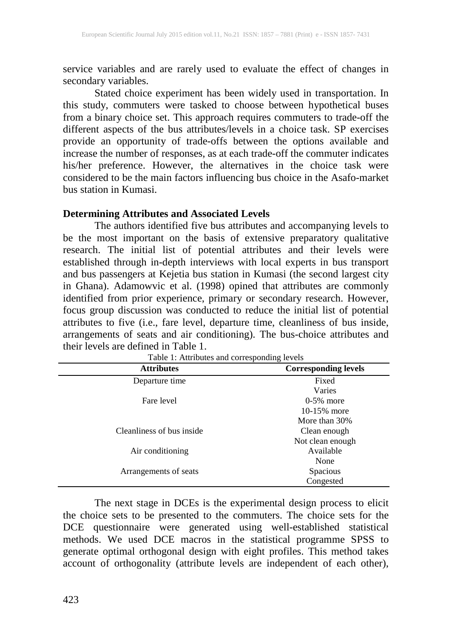service variables and are rarely used to evaluate the effect of changes in secondary variables.

Stated choice experiment has been widely used in transportation. In this study, commuters were tasked to choose between hypothetical buses from a binary choice set. This approach requires commuters to trade-off the different aspects of the bus attributes/levels in a choice task. SP exercises provide an opportunity of trade-offs between the options available and increase the number of responses, as at each trade-off the commuter indicates his/her preference. However, the alternatives in the choice task were considered to be the main factors influencing bus choice in the Asafo-market bus station in Kumasi.

# **Determining Attributes and Associated Levels**

The authors identified five bus attributes and accompanying levels to be the most important on the basis of extensive preparatory qualitative research. The initial list of potential attributes and their levels were established through in-depth interviews with local experts in bus transport and bus passengers at Kejetia bus station in Kumasi (the second largest city in Ghana). Adamowvic et al. (1998) opined that attributes are commonly identified from prior experience, primary or secondary research. However, focus group discussion was conducted to reduce the initial list of potential attributes to five (i.e., fare level, departure time, cleanliness of bus inside, arrangements of seats and air conditioning). The bus-choice attributes and their levels are defined in Table 1.

| <b>Attributes</b>         | <b>Corresponding levels</b> |
|---------------------------|-----------------------------|
| Departure time            | Fixed                       |
|                           | Varies                      |
| Fare level                | $0-5\%$ more                |
|                           | 10-15% more                 |
|                           | More than 30%               |
| Cleanliness of bus inside | Clean enough                |
|                           | Not clean enough            |
| Air conditioning          | Available                   |
|                           | None                        |
| Arrangements of seats     | <b>Spacious</b>             |
|                           | Congested                   |

Table 1: Attributes and corresponding levels

The next stage in DCEs is the experimental design process to elicit the choice sets to be presented to the commuters. The choice sets for the DCE questionnaire were generated using well-established statistical methods. We used DCE macros in the statistical programme SPSS to generate optimal orthogonal design with eight profiles. This method takes account of orthogonality (attribute levels are independent of each other),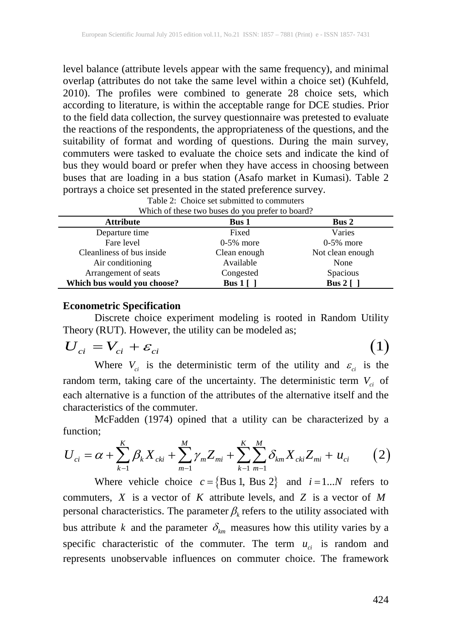level balance (attribute levels appear with the same frequency), and minimal overlap (attributes do not take the same level within a choice set) (Kuhfeld, 2010). The profiles were combined to generate 28 choice sets, which according to literature, is within the acceptable range for DCE studies. Prior to the field data collection, the survey questionnaire was pretested to evaluate the reactions of the respondents, the appropriateness of the questions, and the suitability of format and wording of questions. During the main survey, commuters were tasked to evaluate the choice sets and indicate the kind of bus they would board or prefer when they have access in choosing between buses that are loading in a bus station (Asafo market in Kumasi). Table 2 portrays a choice set presented in the stated preference survey.

| Attribute | Bus 1                                            | <b>Bus 2</b> |
|-----------|--------------------------------------------------|--------------|
|           | Which of these two buses do you prefer to board? |              |
|           | Table 2: Choice set submitted to commuters       |              |
|           |                                                  |              |

| Attribute                   | Bus 1                   | <b>Bus 2</b>          |
|-----------------------------|-------------------------|-----------------------|
| Departure time              | Fixed                   | Varies                |
| Fare level                  | $0-5\%$ more            | $0-5\%$ more          |
| Cleanliness of bus inside.  | Clean enough            | Not clean enough      |
| Air conditioning            | Available               | None                  |
| Arrangement of seats        | Congested               | Spacious              |
| Which bus would you choose? | Bus $1 \mid \cdot \mid$ | Bus $2 \lceil \rceil$ |

#### **Econometric Specification**

Discrete choice experiment modeling is rooted in Random Utility Theory (RUT). However, the utility can be modeled as;

$$
U_{ci} = V_{ci} + \varepsilon_{ci} \tag{1}
$$

Where  $V_{ci}$  is the deterministic term of the utility and  $\varepsilon_{ci}$  is the random term, taking care of the uncertainty. The deterministic term  $V_{ci}$  of each alternative is a function of the attributes of the alternative itself and the characteristics of the commuter.

McFadden (1974) opined that a utility can be characterized by a function;

$$
U_{ci} = \alpha + \sum_{k=1}^{K} \beta_k X_{cki} + \sum_{m=1}^{M} \gamma_m Z_{mi} + \sum_{k=1}^{K} \sum_{m=1}^{M} \delta_{km} X_{cki} Z_{mi} + u_{ci}
$$
 (2)

Where vehicle choice  $c = \{Bus 1, Bus 2\}$  and  $i = 1...N$  refers to commuters, *X* is a vector of *K* attribute levels, and *Z* is a vector of *M* personal characteristics. The parameter  $\beta_k$  refers to the utility associated with bus attribute *k* and the parameter  $\delta_{km}$  measures how this utility varies by a specific characteristic of the commuter. The term  $u_{ci}$  is random and represents unobservable influences on commuter choice. The framework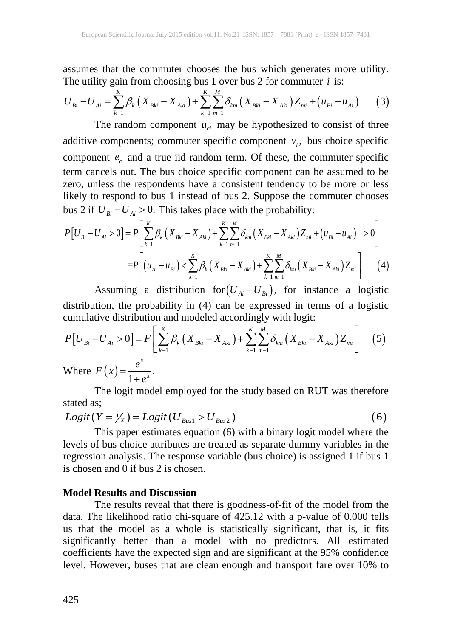assumes that the commuter chooses the bus which generates more utility. The utility gain from choosing bus 1 over bus 2 for commuter  $i$  is:

$$
U_{Bi} - U_{Ai} = \sum_{k=1}^{K} \beta_k \left( X_{Bki} - X_{Aki} \right) + \sum_{k=1}^{K} \sum_{m=1}^{M} \delta_{km} \left( X_{Bki} - X_{Aki} \right) Z_{mi} + \left( u_{Bi} - u_{Ai} \right) \tag{3}
$$

The random component  $u_{ci}$  may be hypothesized to consist of three additive components; commuter specific component  $v_i$ , bus choice specific component  $e_c$  and a true iid random term. Of these, the commuter specific term cancels out. The bus choice specific component can be assumed to be zero, unless the respondents have a consistent tendency to be more or less likely to respond to bus 1 instead of bus 2. Suppose the commuter chooses bus 2 if  $U_{Bi} - U_{Ai} > 0$ . This takes place with the probability:

$$
P[U_{Bi} - U_{Ai} > 0] = P\left[\sum_{k=1}^{K} \beta_{k} \left(X_{Bki} - X_{Aki}\right) + \sum_{k=1}^{K} \sum_{m=1}^{M} \delta_{km} \left(X_{Bki} - X_{Aki}\right) Z_{mi} + \left(u_{Bi} - u_{Ai}\right) > 0\right]
$$
  

$$
= P\left[\left(u_{Ai} - u_{Bi}\right) < \sum_{k=1}^{K} \beta_{k} \left(X_{Bki} - X_{Aki}\right) + \sum_{k=1}^{K} \sum_{m=1}^{M} \delta_{km} \left(X_{Bki} - X_{Aki}\right) Z_{mi}\right] \tag{4}
$$

Assuming a distribution for $(U_{Ai} - U_{Bi})$ , for instance a logistic distribution, the probability in (4) can be expressed in terms of a logistic cumulative distribution and modeled accordingly with logit:

$$
P[U_{Bi} - U_{Ai} > 0] = F\left[\sum_{k=1}^{K} \beta_k (X_{Bki} - X_{Aki}) + \sum_{k=1}^{K} \sum_{m=1}^{M} \delta_{km} (X_{Bki} - X_{Aki}) Z_{mi}\right]
$$
(5)  
Where  $F(x) = \frac{e^x}{1 + e^x}$ .

The logit model employed for the study based on RUT was therefore stated as;

$$
Logit(Y = YX) = Logit(UBus1 > UBus2)
$$
\n(6)

This paper estimates equation (6) with a binary logit model where the levels of bus choice attributes are treated as separate dummy variables in the regression analysis. The response variable (bus choice) is assigned 1 if bus 1 is chosen and 0 if bus 2 is chosen.

#### **Model Results and Discussion**

The results reveal that there is goodness-of-fit of the model from the data. The likelihood ratio chi-square of 425.12 with a p-value of 0.000 tells us that the model as a whole is statistically significant, that is, it fits significantly better than a model with no predictors. All estimated coefficients have the expected sign and are significant at the 95% confidence level. However, buses that are clean enough and transport fare over 10% to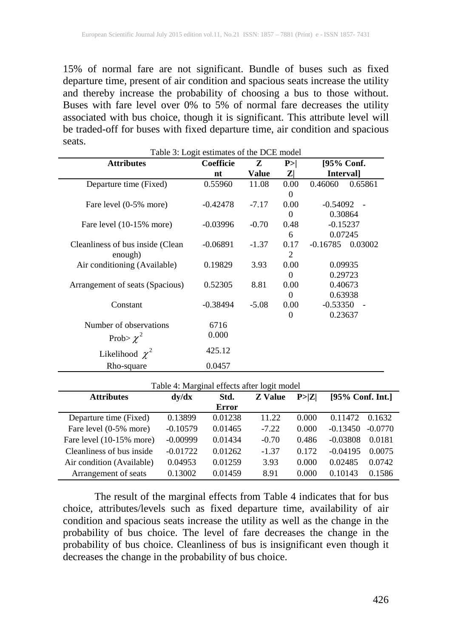15% of normal fare are not significant. Bundle of buses such as fixed departure time, present of air condition and spacious seats increase the utility and thereby increase the probability of choosing a bus to those without. Buses with fare level over 0% to 5% of normal fare decreases the utility associated with bus choice, though it is significant. This attribute level will be traded-off for buses with fixed departure time, air condition and spacious seats. Table 3: Logit estimates of the DCE model

| I able 3: Logit estimates of the DCE model |                  |              |              |            |         |
|--------------------------------------------|------------------|--------------|--------------|------------|---------|
| <b>Attributes</b>                          | <b>Coefficie</b> | Z            | P>           | [95% Conf. |         |
|                                            | nt               | <b>Value</b> | $\mathbf{Z}$ | Interval]  |         |
| Departure time (Fixed)                     | 0.55960          | 11.08        | 0.00         | 0.46060    | 0.65861 |
|                                            |                  |              | $\Omega$     |            |         |
| Fare level (0-5% more)                     | $-0.42478$       | $-7.17$      | 0.00         | $-0.54092$ |         |
|                                            |                  |              | $\Omega$     | 0.30864    |         |
| Fare level (10-15% more)                   | $-0.03996$       | $-0.70$      | 0.48         | $-0.15237$ |         |
|                                            |                  |              | 6            | 0.07245    |         |
| Cleanliness of bus inside (Clean           | $-0.06891$       | $-1.37$      | 0.17         | $-0.16785$ | 0.03002 |
| enough)                                    |                  |              | 2            |            |         |
| Air conditioning (Available)               | 0.19829          | 3.93         | 0.00         | 0.09935    |         |
|                                            |                  |              | 0            | 0.29723    |         |
| Arrangement of seats (Spacious)            | 0.52305          | 8.81         | 0.00         | 0.40673    |         |
|                                            |                  |              | $\Omega$     | 0.63938    |         |
| Constant                                   | $-0.38494$       | $-5.08$      | 0.00         | $-0.53350$ |         |
|                                            |                  |              | $\theta$     | 0.23637    |         |
| Number of observations                     | 6716             |              |              |            |         |
| Prob> $\chi^2$                             | 0.000            |              |              |            |         |
| Likelihood $\chi^2$                        | 425.12           |              |              |            |         |
| Rho-square                                 | 0.0457           |              |              |            |         |

| Table 4: Marginal effects after logit model |            |         |                |        |                         |  |  |
|---------------------------------------------|------------|---------|----------------|--------|-------------------------|--|--|
| <b>Attributes</b>                           | dy/dx      | Std.    | <b>Z</b> Value | P >  Z | $[95\%$ Conf. Int.]     |  |  |
|                                             |            | Error   |                |        |                         |  |  |
| Departure time (Fixed)                      | 0.13899    | 0.01238 | 11.22          | 0.000  | 0.11472<br>0.1632       |  |  |
| Fare level (0-5% more)                      | $-0.10579$ | 0.01465 | $-7.22$        | 0.000  | $-0.13450$<br>$-0.0770$ |  |  |
| Fare level $(10-15\%$ more)                 | $-0.00999$ | 0.01434 | $-0.70$        | 0.486  | $-0.03808$<br>0.0181    |  |  |
| Cleanliness of bus inside                   | $-0.01722$ | 0.01262 | $-1.37$        | 0.172  | $-0.04195$<br>0.0075    |  |  |
| Air condition (Available)                   | 0.04953    | 0.01259 | 3.93           | 0.000  | 0.02485<br>0.0742       |  |  |
| Arrangement of seats                        | 0.13002    | 0.01459 | 8.91           | 0.000  | 0.1586<br>0.10143       |  |  |

The result of the marginal effects from Table 4 indicates that for bus choice, attributes/levels such as fixed departure time, availability of air condition and spacious seats increase the utility as well as the change in the probability of bus choice. The level of fare decreases the change in the probability of bus choice. Cleanliness of bus is insignificant even though it decreases the change in the probability of bus choice.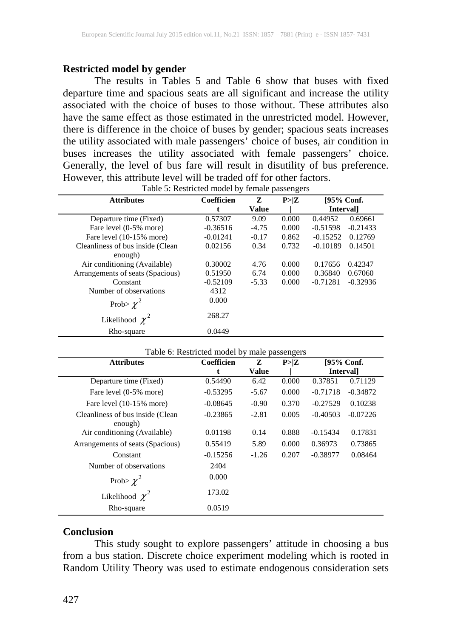### **Restricted model by gender**

The results in Tables 5 and Table 6 show that buses with fixed departure time and spacious seats are all significant and increase the utility associated with the choice of buses to those without. These attributes also have the same effect as those estimated in the unrestricted model. However, there is difference in the choice of buses by gender; spacious seats increases the utility associated with male passengers' choice of buses, air condition in buses increases the utility associated with female passengers' choice. Generally, the level of bus fare will result in disutility of bus preference. However, this attribute level will be traded off for other factors.

| <b>Attributes</b>                | Coefficien | Z            | P > Z | [95% Conf.               |
|----------------------------------|------------|--------------|-------|--------------------------|
|                                  | t          | <b>Value</b> |       | <b>Intervall</b>         |
| Departure time (Fixed)           | 0.57307    | 9.09         | 0.000 | 0.44952<br>0.69661       |
| Fare level (0-5% more)           | $-0.36516$ | $-4.75$      | 0.000 | $-0.51598$<br>$-0.21433$ |
| Fare level (10-15% more)         | $-0.01241$ | $-0.17$      | 0.862 | $-0.15252$<br>0.12769    |
| Cleanliness of bus inside (Clean | 0.02156    | 0.34         | 0.732 | $-0.10189$<br>0.14501    |
| enough)                          |            |              |       |                          |
| Air conditioning (Available)     | 0.30002    | 4.76         | 0.000 | 0.17656<br>0.42347       |
| Arrangements of seats (Spacious) | 0.51950    | 6.74         | 0.000 | 0.36840<br>0.67060       |
| Constant                         | $-0.52109$ | $-5.33$      | 0.000 | $-0.71281$<br>$-0.32936$ |
| Number of observations           | 4312       |              |       |                          |
| Prob> $\chi^2$                   | 0.000      |              |       |                          |
| Likelihood $\chi^2$              | 268.27     |              |       |                          |
| Rho-square                       | 0.0449     |              |       |                          |

| Table 5: Restricted model by female passengers |  |
|------------------------------------------------|--|
|------------------------------------------------|--|

| Table 6: Restricted model by male passengers |            |              |       |                  |            |
|----------------------------------------------|------------|--------------|-------|------------------|------------|
| <b>Attributes</b>                            | Coefficien | Z            | P > Z | [95% Conf.       |            |
|                                              |            | <b>Value</b> |       | <b>Intervall</b> |            |
| Departure time (Fixed)                       | 0.54490    | 6.42         | 0.000 | 0.37851          | 0.71129    |
| Fare level (0-5% more)                       | $-0.53295$ | $-5.67$      | 0.000 | $-0.71718$       | $-0.34872$ |
| Fare level (10-15% more)                     | $-0.08645$ | $-0.90$      | 0.370 | $-0.27529$       | 0.10238    |
| Cleanliness of bus inside (Clean<br>enough)  | $-0.23865$ | $-2.81$      | 0.005 | $-0.40503$       | $-0.07226$ |
| Air conditioning (Available)                 | 0.01198    | 0.14         | 0.888 | $-0.15434$       | 0.17831    |
| Arrangements of seats (Spacious)             | 0.55419    | 5.89         | 0.000 | 0.36973          | 0.73865    |
| Constant                                     | $-0.15256$ | $-1.26$      | 0.207 | $-0.38977$       | 0.08464    |
| Number of observations                       | 2404       |              |       |                  |            |
| Prob> $\chi^2$                               | 0.000      |              |       |                  |            |
| Likelihood $\chi^2$                          | 173.02     |              |       |                  |            |
| Rho-square                                   | 0.0519     |              |       |                  |            |

#### **Conclusion**

This study sought to explore passengers' attitude in choosing a bus from a bus station. Discrete choice experiment modeling which is rooted in Random Utility Theory was used to estimate endogenous consideration sets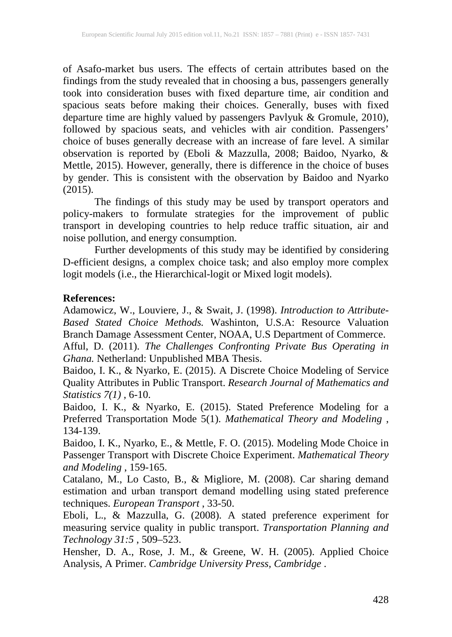of Asafo-market bus users. The effects of certain attributes based on the findings from the study revealed that in choosing a bus, passengers generally took into consideration buses with fixed departure time, air condition and spacious seats before making their choices. Generally, buses with fixed departure time are highly valued by passengers Pavlyuk & Gromule, 2010), followed by spacious seats, and vehicles with air condition. Passengers' choice of buses generally decrease with an increase of fare level. A similar observation is reported by (Eboli & Mazzulla, 2008; Baidoo, Nyarko, & Mettle, 2015). However, generally, there is difference in the choice of buses by gender. This is consistent with the observation by Baidoo and Nyarko (2015).

The findings of this study may be used by transport operators and policy-makers to formulate strategies for the improvement of public transport in developing countries to help reduce traffic situation, air and noise pollution, and energy consumption.

Further developments of this study may be identified by considering D-efficient designs, a complex choice task; and also employ more complex logit models (i.e., the Hierarchical-logit or Mixed logit models).

### **References:**

Adamowicz, W., Louviere, J., & Swait, J. (1998). *Introduction to Attribute-Based Stated Choice Methods.* Washinton, U.S.A: Resource Valuation Branch Damage Assessment Center, NOAA, U.S Department of Commerce.

Afful, D. (2011). *The Challenges Confronting Private Bus Operating in Ghana.* Netherland: Unpublished MBA Thesis.

Baidoo, I. K., & Nyarko, E. (2015). A Discrete Choice Modeling of Service Quality Attributes in Public Transport. *Research Journal of Mathematics and Statistics 7(1)* , 6-10.

Baidoo, I. K., & Nyarko, E. (2015). Stated Preference Modeling for a Preferred Transportation Mode 5(1). *Mathematical Theory and Modeling* , 134-139.

Baidoo, I. K., Nyarko, E., & Mettle, F. O. (2015). Modeling Mode Choice in Passenger Transport with Discrete Choice Experiment. *Mathematical Theory and Modeling* , 159-165.

Catalano, M., Lo Casto, B., & Migliore, M. (2008). Car sharing demand estimation and urban transport demand modelling using stated preference techniques. *European Transport* , 33-50.

Eboli, L., & Mazzulla, G. (2008). A stated preference experiment for measuring service quality in public transport. *Transportation Planning and Technology 31:5* , 509–523.

Hensher, D. A., Rose, J. M., & Greene, W. H. (2005). Applied Choice Analysis, A Primer. *Cambridge University Press, Cambridge* .